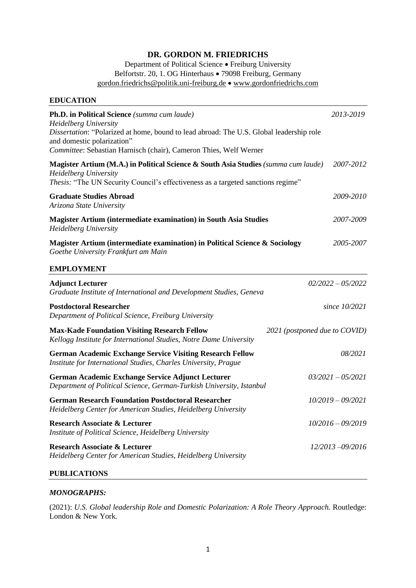## **DR. GORDON M. FRIEDRICHS**

Department of Political Science • Freiburg University Belfortstr. 20, 1. OG Hinterhaus • 79098 Freiburg, Germany [gordon.friedrichs@politik.uni-freiburg.de](mailto:gordon.friedrichs@politik.uni-freiburg.de) • [www.gordonfriedrichs.com](http://www.gordonfriedrichs.com/)

| <b>EDUCATION</b>                                                                                                                                                                                                                                                    |                               |
|---------------------------------------------------------------------------------------------------------------------------------------------------------------------------------------------------------------------------------------------------------------------|-------------------------------|
| Ph.D. in Political Science (summa cum laude)<br>Heidelberg University<br>Dissertation: "Polarized at home, bound to lead abroad: The U.S. Global leadership role<br>and domestic polarization"<br>Committee: Sebastian Harnisch (chair), Cameron Thies, Welf Werner | 2013-2019                     |
| Magister Artium (M.A.) in Political Science & South Asia Studies (summa cum laude)<br><b>Heidelberg University</b><br>Thesis: "The UN Security Council's effectiveness as a targeted sanctions regime"                                                              | 2007-2012                     |
| <b>Graduate Studies Abroad</b><br>Arizona State University                                                                                                                                                                                                          | 2009-2010                     |
| Magister Artium (intermediate examination) in South Asia Studies<br><b>Heidelberg University</b>                                                                                                                                                                    | 2007-2009                     |
| Magister Artium (intermediate examination) in Political Science & Sociology<br>Goethe University Frankfurt am Main                                                                                                                                                  | 2005-2007                     |
| <b>EMPLOYMENT</b>                                                                                                                                                                                                                                                   |                               |
| <b>Adjunct Lecturer</b><br>Graduate Institute of International and Development Studies, Geneva                                                                                                                                                                      | $02/2022 - 05/2022$           |
| <b>Postdoctoral Researcher</b><br>Department of Political Science, Freiburg University                                                                                                                                                                              | since 10/2021                 |
| <b>Max-Kade Foundation Visiting Research Fellow</b><br>Kellogg Institute for International Studies, Notre Dame University                                                                                                                                           | 2021 (postponed due to COVID) |
| <b>German Academic Exchange Service Visiting Research Fellow</b><br>Institute for International Studies, Charles University, Prague                                                                                                                                 | 08/2021                       |
| German Academic Exchange Service Adjunct Lecturer<br>Department of Political Science, German-Turkish University, Istanbul                                                                                                                                           | $03/2021 - 05/2021$           |
| <b>German Research Foundation Postdoctoral Researcher</b><br>Heidelberg Center for American Studies, Heidelberg University                                                                                                                                          | $10/2019 - 09/2021$           |
| <b>Research Associate &amp; Lecturer</b><br>Institute of Political Science, Heidelberg University                                                                                                                                                                   | $10/2016 - 09/2019$           |
| <b>Research Associate &amp; Lecturer</b><br>Heidelberg Center for American Studies, Heidelberg University                                                                                                                                                           | $12/2013 - 09/2016$           |
| <b>PUBLICATIONS</b>                                                                                                                                                                                                                                                 |                               |

## *MONOGRAPHS:*

(2021): *U.S. Global leadership Role and Domestic Polarization: A Role Theory Approach.* Routledge: London & New York*.*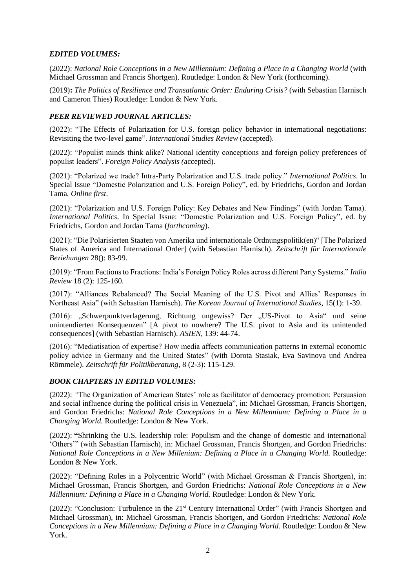## *EDITED VOLUMES:*

(2022): *National Role Conceptions in a New Millennium: Defining a Place in a Changing World* (with Michael Grossman and Francis Shortgen). Routledge: London & New York (forthcoming).

(2019)**:** *The Politics of Resilience and Transatlantic Order: Enduring Crisis?* (with Sebastian Harnisch and Cameron Thies) Routledge: London & New York.

## *PEER REVIEWED JOURNAL ARTICLES:*

(2022): "The Effects of Polarization for U.S. foreign policy behavior in international negotiations: Revisiting the two-level game". *International Studies Review* (accepted).

(2022): "Populist minds think alike? National identity conceptions and foreign policy preferences of populist leaders". *Foreign Policy Analysis (*accepted).

(2021): "Polarized we trade? Intra-Party Polarization and U.S. trade policy." *International Politics*. In Special Issue "Domestic Polarization and U.S. Foreign Policy", ed. by Friedrichs, Gordon and Jordan Tama*. Online first*.

(2021): "Polarization and U.S. Foreign Policy: Key Debates and New Findings" (with Jordan Tama). *International Politics*. In Special Issue: "Domestic Polarization and U.S. Foreign Policy", ed. by Friedrichs, Gordon and Jordan Tama (*forthcoming*).

(2021): "Die Polarisierten Staaten von Amerika und internationale Ordnungspolitik(en)" [The Polarized States of America and International Order] (with Sebastian Harnisch). *Zeitschrift für Internationale Beziehungen* 28(): 83-99.

(2019): "From Factions to Fractions: India's Foreign Policy Roles across different Party Systems." *India Review* 18 (2): 125-160.

(2017): "Alliances Rebalanced? The Social Meaning of the U.S. Pivot and Allies' Responses in Northeast Asia" (with Sebastian Harnisch). *The Korean Journal of International Studies*, 15(1): 1-39.

(2016): "Schwerpunktverlagerung, Richtung ungewiss? Der "US-Pivot to Asia" und seine unintendierten Konsequenzen" [A pivot to nowhere? The U.S. pivot to Asia and its unintended consequences] (with Sebastian Harnisch). *ASIEN*, 139: 44-74.

(2016): "Mediatisation of expertise? How media affects communication patterns in external economic policy advice in Germany and the United States" (with Dorota Stasiak, Eva Savinova und Andrea Römmele). *Zeitschrift für Politikberatung*, 8 (2-3): 115-129.

#### *BOOK CHAPTERS IN EDITED VOLUMES:*

(2022): *"*The Organization of American States' role as facilitator of democracy promotion: Persuasion and social influence during the political crisis in Venezuela", in: Michael Grossman, Francis Shortgen, and Gordon Friedrichs: *National Role Conceptions in a New Millennium: Defining a Place in a Changing World.* Routledge: London & New York.

(2022): **"**Shrinking the U.S. leadership role: Populism and the change of domestic and international 'Others'" (with Sebastian Harnisch), in: Michael Grossman, Francis Shortgen, and Gordon Friedrichs: *National Role Conceptions in a New Millenium: Defining a Place in a Changing World*. Routledge: London & New York.

(2022): "Defining Roles in a Polycentric World" (with Michael Grossman & Francis Shortgen), in: Michael Grossman, Francis Shortgen, and Gordon Friedrichs: *National Role Conceptions in a New Millennium: Defining a Place in a Changing World.* Routledge: London & New York.

(2022): "Conclusion: Turbulence in the 21st Century International Order" (with Francis Shortgen and Michael Grossman), in: Michael Grossman, Francis Shortgen, and Gordon Friedrichs: *National Role Conceptions in a New Millennium: Defining a Place in a Changing World.* Routledge: London & New York.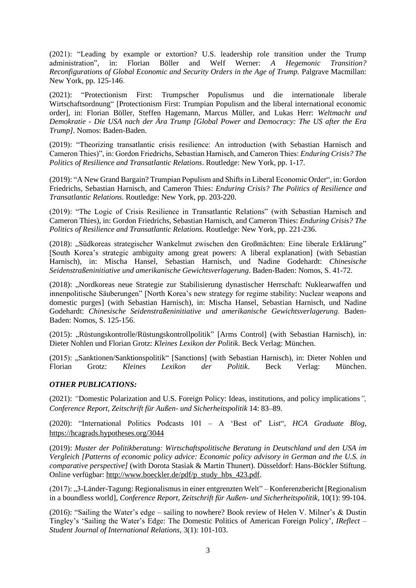(2021): "Leading by example or extortion? U.S. leadership role transition under the Trump administration", in: Florian Böller and Welf Werner: *A Hegemonic Transition? Reconfigurations of Global Economic and Security Orders in the Age of Trump.* Palgrave Macmillan: New York, pp. 125-146.

(2021): "Protectionism First: Trumpscher Populismus und die internationale liberale Wirtschaftsordnung" [Protectionism First: Trumpian Populism and the liberal international economic order], in: Florian Böller, Steffen Hagemann, Marcus Müller, and Lukas Herr: *Weltmacht und Demokratie - Die USA nach der Ära Trump [Global Power and Democracy: The US after the Era Trump]*. Nomos: Baden-Baden.

(2019): "Theorizing transatlantic crisis resilience: An introduction (with Sebastian Harnisch and Cameron Thies)", in: Gordon Friedrichs, Sebastian Harnisch, and Cameron Thies: *Enduring Crisis? The Politics of Resilience and Transatlantic Relations*. Routledge: New York, pp. 1-17.

(2019): "A New Grand Bargain? Trumpian Populism and Shifts in Liberal Economic Order", in: Gordon Friedrichs, Sebastian Harnisch, and Cameron Thies: *Enduring Crisis? The Politics of Resilience and Transatlantic Relations.* Routledge: New York, pp. 203-220.

(2019): "The Logic of Crisis Resilience in Transatlantic Relations" (with Sebastian Harnisch and Cameron Thies), in: Gordon Friedrichs, Sebastian Harnisch, and Cameron Thies: *Enduring Crisis? The Politics of Resilience and Transatlantic Relations.* Routledge: New York, pp. 221-236.

(2018): "Südkoreas strategischer Wankelmut zwischen den Großmächten: Eine liberale Erklärung" [South Korea's strategic ambiguity among great powers: A liberal explanation] (with Sebastian Harnisch), in: Mischa Hansel, Sebastian Harnisch, und Nadine Godehardt: *Chinesische Seidenstraßeninitiative und amerikanische Gewichtsverlagerung*. Baden-Baden: Nomos, S. 41-72.

(2018): "Nordkoreas neue Strategie zur Stabilisierung dynastischer Herrschaft: Nuklearwaffen und innenpolitische Säuberungen" [North Korea's new strategy for regime stability: Nuclear weapons and domestic purges] (with Sebastian Harnisch), in: Mischa Hansel, Sebastian Harnisch, und Nadine Godehardt: *Chinesische Seidenstraßeninitiative und amerikanische Gewichtsverlagerung*. Baden-Baden: Nomos, S. 125-156.

(2015): "Rüstungskontrolle/Rüstungskontrollpolitik" [Arms Control] (with Sebastian Harnisch), in: Dieter Nohlen und Florian Grotz: *Kleines Lexikon der Politik.* Beck Verlag: München.

(2015): "Sanktionen/Sanktionspolitik" [Sanctions] (with Sebastian Harnisch), in: Dieter Nohlen und Florian Grotz: *Kleines Lexikon der Politik*. Beck Verlag: München.

#### *OTHER PUBLICATIONS:*

(2021): *"*Domestic Polarization and U.S. Foreign Policy: Ideas, institutions, and policy implications*", Conference Report, Zeitschrift für Außen- und Sicherheitspolitik* 14: 83–89.

(2020): "International Politics Podcasts 101 – A 'Best of' List", *HCA Graduate Blog*, <https://hcagrads.hypotheses.org/3044>

(2019): *Muster der Politikberatung: Wirtschaftspolitische Beratung in Deutschland und den USA im Vergleich [Patterns of economic policy advice: Economic policy advisory in German and the U.S. in comparative perspective]* (with Dorota Stasiak & Martin Thunert). Düsseldorf: Hans-Böckler Stiftung. Online verfügbar: [http://www.boeckler.de/pdf/p\\_study\\_hbs\\_423.pdf.](http://www.boeckler.de/pdf/p_study_hbs_423.pdf)

(2017): "3-Länder-Tagung: Regionalismus in einer entgrenzten Welt" – Konferenzbericht [Regionalism in a boundless world], *Conference Report*, *Zeitschrift für Außen- und Sicherheitspolitik*, 10(1): 99-104.

(2016): "Sailing the Water's edge – sailing to nowhere? Book review of Helen V. Milner's & Dustin Tingley's 'Sailing the Water's Edge: The Domestic Politics of American Foreign Policy', *IReflect – Student Journal of International Relations*, 3(1): 101-103.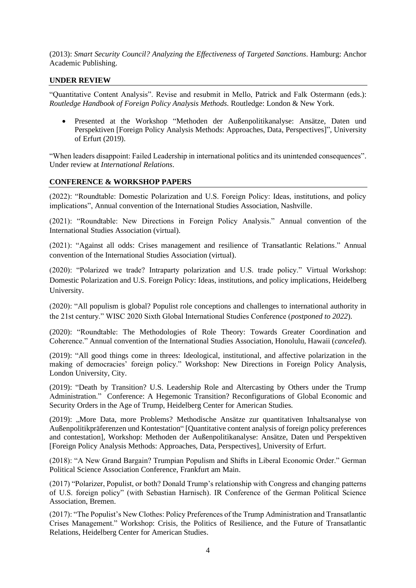(2013): *Smart Security Council? Analyzing the Effectiveness of Targeted Sanctions*. Hamburg: Anchor Academic Publishing.

## **UNDER REVIEW**

"Quantitative Content Analysis". Revise and resubmit in Mello, Patrick and Falk Ostermann (eds.): *Routledge Handbook of Foreign Policy Analysis Methods.* Routledge: London & New York.

• Presented at the Workshop "Methoden der Außenpolitikanalyse: Ansätze, Daten und Perspektiven [Foreign Policy Analysis Methods: Approaches, Data, Perspectives]", University of Erfurt (2019).

"When leaders disappoint: Failed Leadership in international politics and its unintended consequences". Under review at *International Relations*.

## **CONFERENCE & WORKSHOP PAPERS**

(2022): "Roundtable: Domestic Polarization and U.S. Foreign Policy: Ideas, institutions, and policy implications", Annual convention of the International Studies Association, Nashville.

(2021): "Roundtable: New Directions in Foreign Policy Analysis." Annual convention of the International Studies Association (virtual).

(2021): "Against all odds: Crises management and resilience of Transatlantic Relations." Annual convention of the International Studies Association (virtual).

(2020): "Polarized we trade? Intraparty polarization and U.S. trade policy." Virtual Workshop: Domestic Polarization and U.S. Foreign Policy: Ideas, institutions, and policy implications, Heidelberg University.

(2020): "All populism is global? Populist role conceptions and challenges to international authority in the 21st century." WISC 2020 Sixth Global International Studies Conference (*postponed to 2022*).

(2020): "Roundtable: The Methodologies of Role Theory: Towards Greater Coordination and Coherence." Annual convention of the International Studies Association, Honolulu, Hawaii (*canceled*).

(2019): "All good things come in threes: Ideological, institutional, and affective polarization in the making of democracies' foreign policy." Workshop: New Directions in Foreign Policy Analysis, London University, City.

(2019): "Death by Transition? U.S. Leadership Role and Altercasting by Others under the Trump Administration." Conference: A Hegemonic Transition? Reconfigurations of Global Economic and Security Orders in the Age of Trump, Heidelberg Center for American Studies*.*

(2019): "More Data, more Problems? Methodische Ansätze zur quantitativen Inhaltsanalyse von Außenpolitikpräferenzen und Kontestation" [Quantitative content analysis of foreign policy preferences and contestation], Workshop: Methoden der Außenpolitikanalyse: Ansätze, Daten und Perspektiven [Foreign Policy Analysis Methods: Approaches, Data, Perspectives], University of Erfurt.

(2018): "A New Grand Bargain? Trumpian Populism and Shifts in Liberal Economic Order." German Political Science Association Conference, Frankfurt am Main.

(2017) "Polarizer, Populist, or both? Donald Trump's relationship with Congress and changing patterns of U.S. foreign policy" (with Sebastian Harnisch). IR Conference of the German Political Science Association, Bremen.

(2017): "The Populist's New Clothes: Policy Preferences of the Trump Administration and Transatlantic Crises Management." Workshop: Crisis, the Politics of Resilience, and the Future of Transatlantic Relations, Heidelberg Center for American Studies.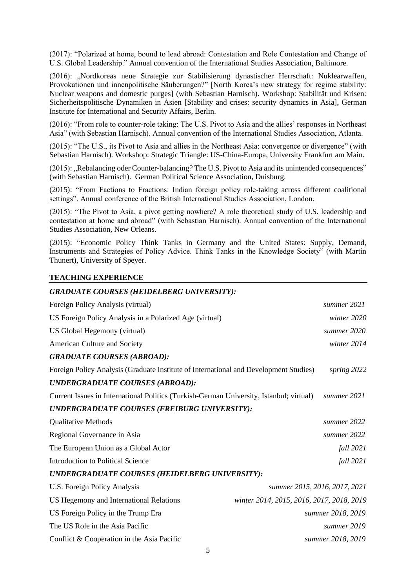(2017): "Polarized at home, bound to lead abroad: Contestation and Role Contestation and Change of U.S. Global Leadership." Annual convention of the International Studies Association, Baltimore.

(2016): "Nordkoreas neue Strategie zur Stabilisierung dynastischer Herrschaft: Nuklearwaffen, Provokationen und innenpolitische Säuberungen?" [North Korea's new strategy for regime stability: Nuclear weapons and domestic purges] (with Sebastian Harnisch). Workshop: Stabilität und Krisen: Sicherheitspolitische Dynamiken in Asien [Stability and crises: security dynamics in Asia], German Institute for International and Security Affairs*,* Berlin.

(2016): "From role to counter-role taking: The U.S. Pivot to Asia and the allies' responses in Northeast Asia" (with Sebastian Harnisch). Annual convention of the International Studies Association, Atlanta.

(2015): "The U.S., its Pivot to Asia and allies in the Northeast Asia: convergence or divergence" (with Sebastian Harnisch). Workshop: Strategic Triangle: US-China-Europa, University Frankfurt am Main.

(2015): "Rebalancing oder Counter-balancing? The U.S. Pivot to Asia and its unintended consequences" (with Sebastian Harnisch). German Political Science Association, Duisburg.

(2015): "From Factions to Fractions: Indian foreign policy role-taking across different coalitional settings". Annual conference of the British International Studies Association, London.

(2015): "The Pivot to Asia, a pivot getting nowhere? A role theoretical study of U.S. leadership and contestation at home and abroad" (with Sebastian Harnisch). Annual convention of the International Studies Association, New Orleans.

(2015): "Economic Policy Think Tanks in Germany and the United States: Supply, Demand, Instruments and Strategies of Policy Advice. Think Tanks in the Knowledge Society" (with Martin Thunert), University of Speyer.

# 5 *GRADUATE COURSES (HEIDELBERG UNIVERSITY):* Foreign Policy Analysis (virtual) *summer 2021* US Foreign Policy Analysis in a Polarized Age (virtual) *winter 2020* US Global Hegemony (virtual) *summer 2020* American Culture and Society *winter 2014 GRADUATE COURSES (ABROAD):* Foreign Policy Analysis (Graduate Institute of International and Development Studies) s*pring 2022 UNDERGRADUATE COURSES (ABROAD):* Current Issues in International Politics (Turkish-German University, Istanbul; virtual) *summer 2021 UNDERGRADUATE COURSES (FREIBURG UNIVERSITY):* Qualitative Methods *summer 2022* Regional Governance in Asia *summer 2022* The European Union as a Global Actor *fall 2021* Introduction to Political Science *fall 2021 UNDERGRADUATE COURSES (HEIDELBERG UNIVERSITY):* U.S. Foreign Policy Analysis *summer 2015, 2016, 2017, 2021* US Hegemony and International Relations *winter 2014, 2015, 2016, 2017, 2018, 2019* US Foreign Policy in the Trump Era *summer 2018, 2019* The US Role in the Asia Pacific **summer 2019** *summer 2019* Conflict & Cooperation in the Asia Pacific *summer 2018, 2019*

#### **TEACHING EXPERIENCE**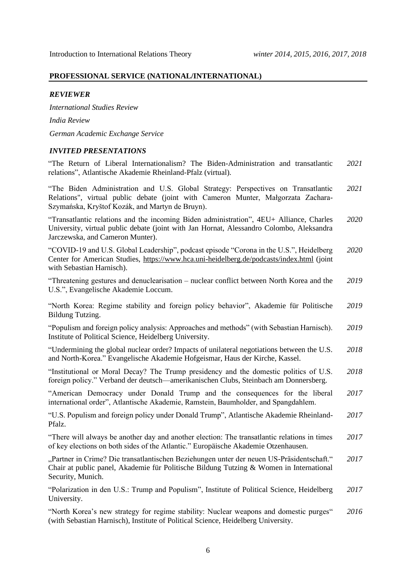#### **PROFESSIONAL SERVICE (NATIONAL/INTERNATIONAL)**

#### *REVIEWER*

*International Studies Review India Review German Academic Exchange Service*

#### *INVITED PRESENTATIONS*

"The Return of Liberal Internationalism? The Biden-Administration and transatlantic relations", Atlantische Akademie Rheinland-Pfalz (virtual). *2021*

"The Biden Administration and U.S. Global Strategy: Perspectives on Transatlantic Relations", virtual public debate (joint with Cameron Munter, Małgorzata Zachara-Szymańska, Kryštof Kozák, and Martyn de Bruyn). *2021*

"Transatlantic relations and the incoming Biden administration", 4EU+ Alliance, Charles University, virtual public debate (joint with Jan Hornat, Alessandro Colombo, Aleksandra Jarczewska, and Cameron Munter). *2020*

"COVID-19 and U.S. Global Leadership", podcast episode "Corona in the U.S.", Heidelberg Center for American Studies,<https://www.hca.uni-heidelberg.de/podcasts/index.html> (joint with Sebastian Harnisch). *2020*

"Threatening gestures and denuclearisation – nuclear conflict between North Korea and the U.S.", Evangelische Akademie Loccum. *2019*

"North Korea: Regime stability and foreign policy behavior", Akademie für Politische Bildung Tutzing. *2019*

"Populism and foreign policy analysis: Approaches and methods" (with Sebastian Harnisch). Institute of Political Science, Heidelberg University. *2019*

"Undermining the global nuclear order? Impacts of unilateral negotiations between the U.S. and North-Korea." Evangelische Akademie Hofgeismar, Haus der Kirche, Kassel. *2018*

"Institutional or Moral Decay? The Trump presidency and the domestic politics of U.S. foreign policy." Verband der deutsch—amerikanischen Clubs, Steinbach am Donnersberg. *2018*

"American Democracy under Donald Trump and the consequences for the liberal international order", Atlantische Akademie, Ramstein, Baumholder, and Spangdahlem. *2017*

"U.S. Populism and foreign policy under Donald Trump", Atlantische Akademie Rheinland-Pfalz. *2017*

"There will always be another day and another election: The transatlantic relations in times of key elections on both sides of the Atlantic." Europäische Akademie Otzenhausen. *2017*

"Partner in Crime? Die transatlantischen Beziehungen unter der neuen US-Präsidentschaft." Chair at public panel, Akademie für Politische Bildung Tutzing & Women in International Security, Munich. *2017*

"Polarization in den U.S.: Trump and Populism", Institute of Political Science, Heidelberg University. *2017*

"North Korea's new strategy for regime stability: Nuclear weapons and domestic purges" (with Sebastian Harnisch), Institute of Political Science, Heidelberg University. *2016*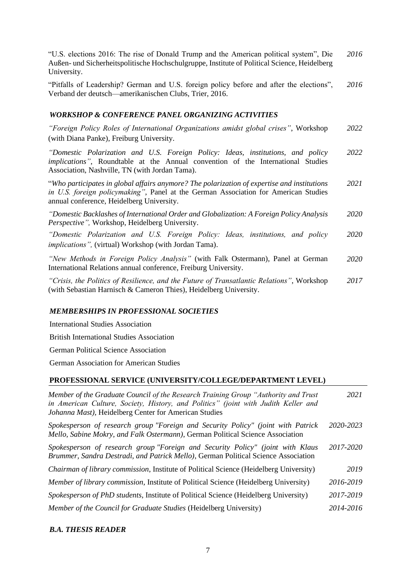"U.S. elections 2016: The rise of Donald Trump and the American political system", Die Außen- und Sicherheitspolitische Hochschulgruppe, Institute of Political Science, Heidelberg University. *2016*

"Pitfalls of Leadership? German and U.S. foreign policy before and after the elections", Verband der deutsch—amerikanischen Clubs, Trier, 2016. *2016*

#### *WORKSHOP & CONFERENCE PANEL ORGANIZING ACTIVITIES*

*"Foreign Policy Roles of International Organizations amidst global crises"*, Workshop (with Diana Panke), Freiburg University. *2022*

*"Domestic Polarization and U.S. Foreign Policy: Ideas, institutions, and policy implications"*, Roundtable at the Annual convention of the International Studies Association, Nashville, TN (with Jordan Tama). *2022*

"*Who participates in global affairs anymore? The polarization of expertise and institutions in U.S. foreign policymaking"*, Panel at the German Association for American Studies annual conference, Heidelberg University. *2021*

*"Domestic Backlashes of International Order and Globalization: A Foreign Policy Analysis Perspective",* Workshop, Heidelberg University.  *2020*

*"Domestic Polarization and U.S. Foreign Policy: Ideas, institutions, and policy implications",* (virtual) Workshop (with Jordan Tama). *2020*

*"New Methods in Foreign Policy Analysis"* (with Falk Ostermann), Panel at German International Relations annual conference, Freiburg University. *2020*

*"Crisis, the Politics of Resilience, and the Future of Transatlantic Relations"*, Workshop (with Sebastian Harnisch & Cameron Thies), Heidelberg University. *2017*

#### *MEMBERSHIPS IN PROFESSIONAL SOCIETIES*

International Studies Association

British International Studies Association

German Political Science Association

German Association for American Studies

#### **PROFESSIONAL SERVICE (UNIVERSITY/COLLEGE/DEPARTMENT LEVEL)**

| Member of the Graduate Council of the Research Training Group "Authority and Trust"<br>in American Culture, Society, History, and Politics" (joint with Judith Keller and<br>Johanna Mast), Heidelberg Center for American Studies | 2021      |
|------------------------------------------------------------------------------------------------------------------------------------------------------------------------------------------------------------------------------------|-----------|
| Spokesperson of research group "Foreign and Security Policy" (joint with Patrick<br>Mello, Sabine Mokry, and Falk Ostermann), German Political Science Association                                                                 | 2020-2023 |
| Spokesperson of research group "Foreign and Security Policy" (joint with Klaus<br>Brummer, Sandra Destradi, and Patrick Mello), German Political Science Association                                                               | 2017-2020 |
| <i>Chairman of library commission, Institute of Political Science (Heidelberg University)</i>                                                                                                                                      | 2019      |
| <i>Member of library commission, Institute of Political Science (Heidelberg University)</i>                                                                                                                                        | 2016-2019 |
| Spokesperson of PhD students, Institute of Political Science (Heidelberg University)                                                                                                                                               | 2017-2019 |
| Member of the Council for Graduate Studies (Heidelberg University)                                                                                                                                                                 | 2014-2016 |

#### *B.A. THESIS READER*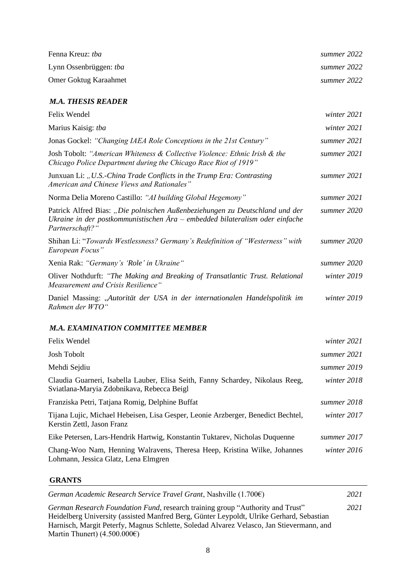| Fenna Kreuz: tba              | summer 2022 |
|-------------------------------|-------------|
| Lynn Ossenbrüggen: <i>tba</i> | summer 2022 |
| <b>Omer Goktug Karaahmet</b>  | summer 2022 |

## *M.A. THESIS READER*

| Felix Wendel                                                                                                                                                                         | winter 2021 |
|--------------------------------------------------------------------------------------------------------------------------------------------------------------------------------------|-------------|
| Marius Kaisig: tba                                                                                                                                                                   | winter 2021 |
| Jonas Gockel: "Changing IAEA Role Conceptions in the 21st Century"                                                                                                                   | summer 2021 |
| Josh Tobolt: "American Whiteness & Collective Violence: Ethnic Irish & the<br>Chicago Police Department during the Chicago Race Riot of 1919"                                        | summer 2021 |
| Junxuan Li: "U.S.-China Trade Conflicts in the Trump Era: Contrasting<br>American and Chinese Views and Rationales"                                                                  | summer 2021 |
| Norma Delia Moreno Castillo: "AI building Global Hegemony"                                                                                                                           | summer 2021 |
| Patrick Alfred Bias: "Die polnischen Außenbeziehungen zu Deutschland und der<br>Ukraine in der postkommunistischen $\AA$ ra – embedded bilateralism oder einfache<br>Partnerschaft?" | summer 2020 |
| Shihan Li: "Towards Westlessness? Germany's Redefinition of "Westerness" with<br>European Focus"                                                                                     | summer 2020 |
| Xenia Rak: "Germany's 'Role' in Ukraine"                                                                                                                                             | summer 2020 |
| Oliver Nothdurft: "The Making and Breaking of Transatlantic Trust. Relational<br>Measurement and Crisis Resilience"                                                                  | winter 2019 |
| Daniel Massing: "Autorität der USA in der internationalen Handelspolitik im<br>Rahmen der WTO"                                                                                       | winter 2019 |

## *M.A. EXAMINATION COMMITTEE MEMBER*

| Felix Wendel                                                                                                                 | winter $2021$ |
|------------------------------------------------------------------------------------------------------------------------------|---------------|
| <b>Josh Tobolt</b>                                                                                                           | summer 2021   |
| Mehdi Sejdiu                                                                                                                 | summer 2019   |
| Claudia Guarneri, Isabella Lauber, Elisa Seith, Fanny Schardey, Nikolaus Reeg,<br>Sviatlana-Maryia Zdobnikava, Rebecca Beigl | winter 2018   |
| Franziska Petri, Tatjana Romig, Delphine Buffat                                                                              | summer 2018   |
| Tijana Lujic, Michael Hebeisen, Lisa Gesper, Leonie Arzberger, Benedict Bechtel,<br>Kerstin Zettl, Jason Franz               | winter 2017   |
| Eike Petersen, Lars-Hendrik Hartwig, Konstantin Tuktarev, Nicholas Duquenne                                                  | summer 2017   |
| Chang-Woo Nam, Henning Walravens, Theresa Heep, Kristina Wilke, Johannes<br>Lohmann, Jessica Glatz, Lena Elmgren             | winter $2016$ |

## **GRANTS**

| German Academic Research Service Travel Grant, Nashville $(1.700\epsilon)$                                                                                                                                                                                             | 2021 |
|------------------------------------------------------------------------------------------------------------------------------------------------------------------------------------------------------------------------------------------------------------------------|------|
| German Research Foundation Fund, research training group "Authority and Trust"<br>Heidelberg University (assisted Manfred Berg, Günter Leypoldt, Ulrike Gerhard, Sebastian<br>Harnisch, Margit Peterfy, Magnus Schlette, Soledad Alvarez Velasco, Jan Stievermann, and | 2021 |
| Martin Thunert) $(4.500.000\varepsilon)$                                                                                                                                                                                                                               |      |